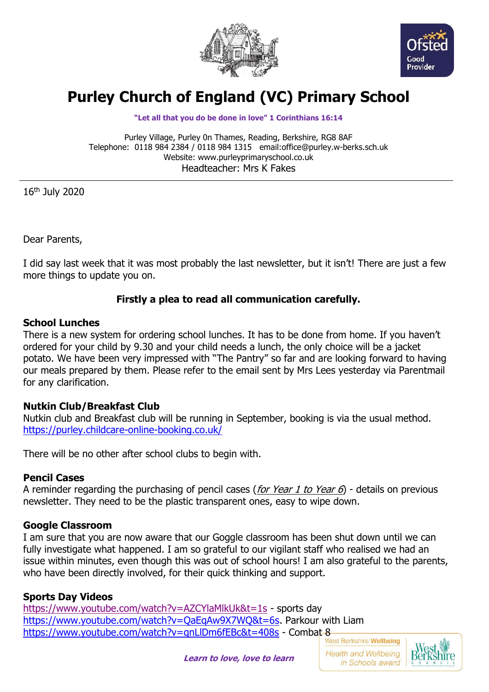



# **Purley Church of England (VC) Primary School**

#### **"Let all that you do be done in love" 1 Corinthians 16:14**

Purley Village, Purley 0n Thames, Reading, Berkshire, RG8 8AF Telephone: 0118 984 2384 / 0118 984 1315 email:office@purley.w-berks.sch.uk Website: www.purleyprimaryschool.co.uk Headteacher: Mrs K Fakes

16th July 2020

Dear Parents,

I did say last week that it was most probably the last newsletter, but it isn't! There are just a few more things to update you on.

## **Firstly a plea to read all communication carefully.**

#### **School Lunches**

There is a new system for ordering school lunches. It has to be done from home. If you haven't ordered for your child by 9.30 and your child needs a lunch, the only choice will be a jacket potato. We have been very impressed with "The Pantry" so far and are looking forward to having our meals prepared by them. Please refer to the email sent by Mrs Lees yesterday via Parentmail for any clarification.

### **Nutkin Club/Breakfast Club**

Nutkin club and Breakfast club will be running in September, booking is via the usual method. <https://purley.childcare-online-booking.co.uk/>

There will be no other after school clubs to begin with.

#### **Pencil Cases**

A reminder regarding the purchasing of pencil cases (*for Year 1 to Year 6*) - details on previous newsletter. They need to be the plastic transparent ones, easy to wipe down.

### **Google Classroom**

I am sure that you are now aware that our Goggle classroom has been shut down until we can fully investigate what happened. I am so grateful to our vigilant staff who realised we had an issue within minutes, even though this was out of school hours! I am also grateful to the parents, who have been directly involved, for their quick thinking and support.

### **Sports Day Videos**

<https://www.youtube.com/watch?v=AZCYlaMlkUk&t=1s> - sports day [https://www.youtube.com/watch?v=QaEqAw9X7WQ&t=6s.](https://www.youtube.com/watch?v=QaEqAw9X7WQ&t=6s) Parkour with Liam <https://www.youtube.com/watch?v=qnLlDm6fEBc&t=408s> - Combat-8